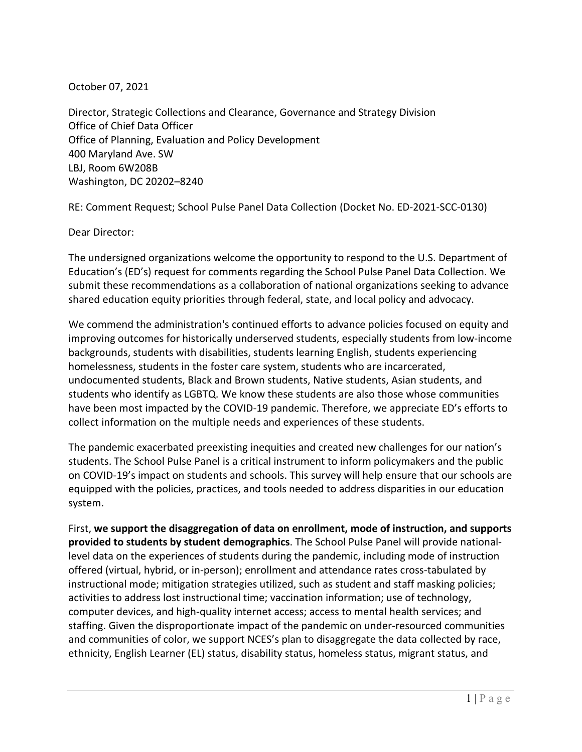October 07, 2021

Director, Strategic Collections and Clearance, Governance and Strategy Division Office of Chief Data Officer Office of Planning, Evaluation and Policy Development 400 Maryland Ave. SW LBJ, Room 6W208B Washington, DC 20202–8240

RE: Comment Request; School Pulse Panel Data Collection (Docket No. ED-2021-SCC-0130)

Dear Director:

The undersigned organizations welcome the opportunity to respond to the U.S. Department of Education's (ED's) request for comments regarding the School Pulse Panel Data Collection. We submit these recommendations as a collaboration of national organizations seeking to advance shared education equity priorities through federal, state, and local policy and advocacy.

We commend the administration's continued efforts to advance policies focused on equity and improving outcomes for historically underserved students, especially students from low-income backgrounds, students with disabilities, students learning English, students experiencing homelessness, students in the foster care system, students who are incarcerated, undocumented students, Black and Brown students, Native students, Asian students, and students who identify as LGBTQ. We know these students are also those whose communities have been most impacted by the COVID-19 pandemic. Therefore, we appreciate ED's efforts to collect information on the multiple needs and experiences of these students.

The pandemic exacerbated preexisting inequities and created new challenges for our nation's students. The School Pulse Panel is a critical instrument to inform policymakers and the public on COVID-19's impact on students and schools. This survey will help ensure that our schools are equipped with the policies, practices, and tools needed to address disparities in our education system.

First, **we support the disaggregation of data on enrollment, mode of instruction, and supports provided to students by student demographics**. The School Pulse Panel will provide nationallevel data on the experiences of students during the pandemic, including mode of instruction offered (virtual, hybrid, or in-person); enrollment and attendance rates cross-tabulated by instructional mode; mitigation strategies utilized, such as student and staff masking policies; activities to address lost instructional time; vaccination information; use of technology, computer devices, and high-quality internet access; access to mental health services; and staffing. Given the disproportionate impact of the pandemic on under-resourced communities and communities of color, we support NCES's plan to disaggregate the data collected by race, ethnicity, English Learner (EL) status, disability status, homeless status, migrant status, and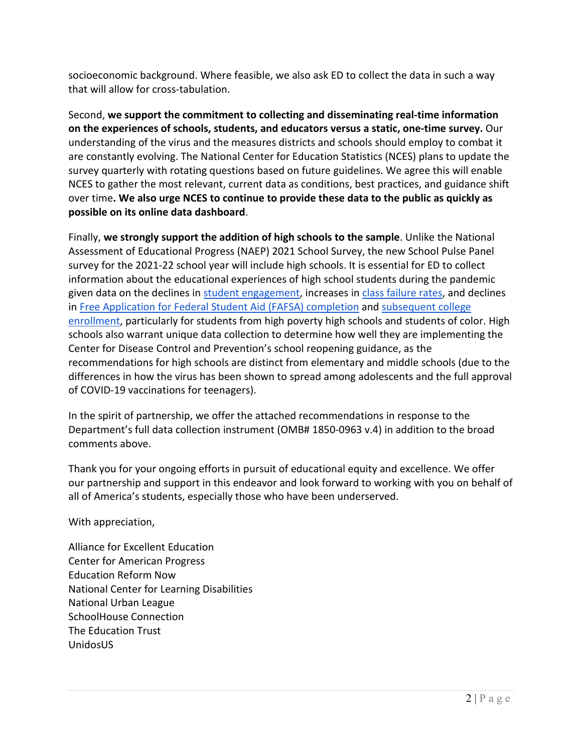socioeconomic background. Where feasible, we also ask ED to collect the data in such a way that will allow for cross-tabulation.

Second, **we support the commitment to collecting and disseminating real-time information on the experiences of schools, students, and educators versus a static, one-time survey.** Our understanding of the virus and the measures districts and schools should employ to combat it are constantly evolving. The National Center for Education Statistics (NCES) plans to update the survey quarterly with rotating questions based on future guidelines. We agree this will enable NCES to gather the most relevant, current data as conditions, best practices, and guidance shift over time**. We also urge NCES to continue to provide these data to the public as quickly as possible on its online data dashboard**.

Finally, **we strongly support the addition of high schools to the sample**. Unlike the National Assessment of Educational Progress (NAEP) 2021 School Survey, the new School Pulse Panel survey for the 2021-22 school year will include high schools. It is essential for ED to collect information about the educational experiences of high school students during the pandemic given data on the declines i[n](https://www.nytimes.com/2021/07/12/briefing/remote-learning-covid.html) [student engagement,](https://www.nytimes.com/2021/07/12/briefing/remote-learning-covid.html) increases i[n](https://www.nytimes.com/2021/06/23/us/failing-grades-covid.html) [class failure rates,](https://www.nytimes.com/2021/06/23/us/failing-grades-covid.html) and declines in [Free Application for Federal Student Aid \(FAFSA\) completion](https://www.ncan.org/news/573024/FAFSA-Completion-Declines-Nearly-5-Nation-Loses-270K-FAFSAs-Since-2019.htm) and [subsequent college](https://nscresearchcenter.org/wp-content/uploads/2021_HSBenchmarksCovidReport.pdf)  [enrollment,](https://nscresearchcenter.org/wp-content/uploads/2021_HSBenchmarksCovidReport.pdf) particularly for students from high poverty high schools and students of color. High schools also warrant unique data collection to determine how well they are implementing the Center for Disease Control and Prevention's school reopening guidance, as the recommendations for high schools are distinct from elementary and middle schools (due to the differences in how the virus has been shown to spread among adolescents and the full approval of COVID-19 vaccinations for teenagers).

In the spirit of partnership, we offer the attached recommendations in response to the Department's full data collection instrument (OMB# 1850-0963 v.4) in addition to the broad comments above.

Thank you for your ongoing efforts in pursuit of educational equity and excellence. We offer our partnership and support in this endeavor and look forward to working with you on behalf of all of America's students, especially those who have been underserved.

With appreciation,

Alliance for Excellent Education Center for American Progress Education Reform Now National Center for Learning Disabilities National Urban League SchoolHouse Connection The Education Trust UnidosUS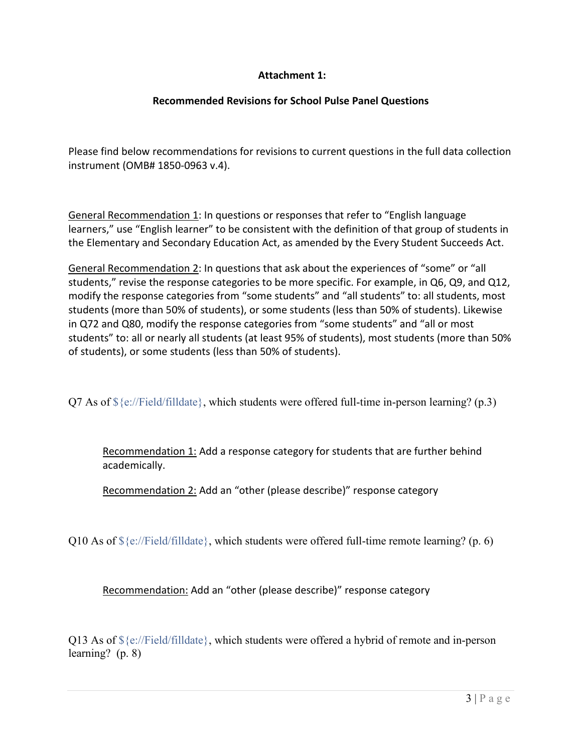## **Attachment 1:**

## **Recommended Revisions for School Pulse Panel Questions**

Please find below recommendations for revisions to current questions in the full data collection instrument (OMB# 1850-0963 v.4).

General Recommendation 1: In questions or responses that refer to "English language learners," use "English learner" to be consistent with the definition of that group of students in the Elementary and Secondary Education Act, as amended by the Every Student Succeeds Act.

General Recommendation 2: In questions that ask about the experiences of "some" or "all students," revise the response categories to be more specific. For example, in Q6, Q9, and Q12, modify the response categories from "some students" and "all students" to: all students, most students (more than 50% of students), or some students (less than 50% of students). Likewise in Q72 and Q80, modify the response categories from "some students" and "all or most students" to: all or nearly all students (at least 95% of students), most students (more than 50% of students), or some students (less than 50% of students).

Q7 As of  $\S\{\varepsilon'/\text{Field/filled}\}\$ , which students were offered full-time in-person learning? (p.3)

Recommendation 1: Add a response category for students that are further behind academically.

Recommendation 2: Add an "other (please describe)" response category

Q10 As of  $\{\epsilon'/\text{Field/filled}\}$ , which students were offered full-time remote learning? (p. 6)

Recommendation: Add an "other (please describe)" response category

Q13 As of  $\S\$ ://Field/filldate}, which students were offered a hybrid of remote and in-person learning?(p. 8)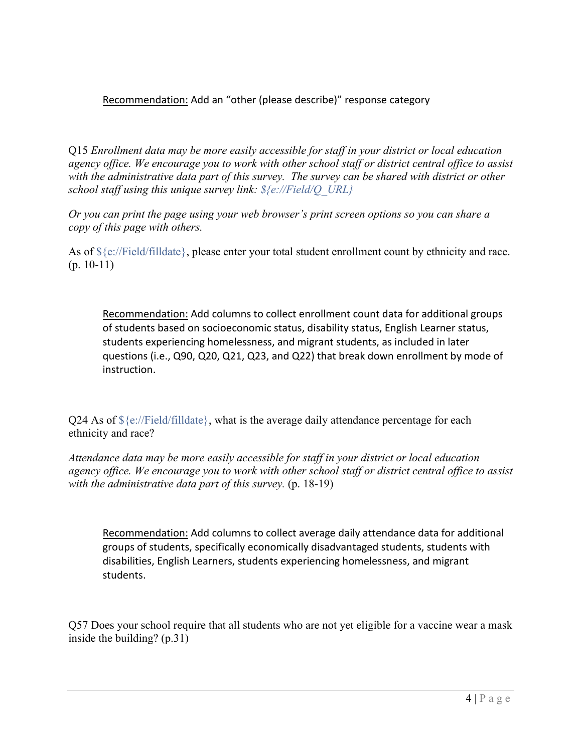Recommendation: Add an "other (please describe)" response category

Q15 *Enrollment data may be more easily accessible for staff in your district or local education agency office. We encourage you to work with other school staff or district central office to assist with the administrative data part of this survey. The survey can be shared with district or other school staff using this unique survey link: \${e://Field/Q\_URL}*

*Or you can print the page using your web browser's print screen options so you can share a copy of this page with others.*

As of \${e://Field/filldate}, please enter your total student enrollment count by ethnicity and race.  $(p. 10-11)$ 

Recommendation: Add columns to collect enrollment count data for additional groups of students based on socioeconomic status, disability status, English Learner status, students experiencing homelessness, and migrant students, as included in later questions (i.e., Q90, Q20, Q21, Q23, and Q22) that break down enrollment by mode of instruction.

Q24 As of  $\S\$ ://Field/filldate, what is the average daily attendance percentage for each ethnicity and race?

*Attendance data may be more easily accessible for staff in your district or local education agency office. We encourage you to work with other school staff or district central office to assist with the administrative data part of this survey.* (p. 18-19)

Recommendation: Add columns to collect average daily attendance data for additional groups of students, specifically economically disadvantaged students, students with disabilities, English Learners, students experiencing homelessness, and migrant students.

Q57 Does your school require that all students who are not yet eligible for a vaccine wear a mask inside the building? (p.31)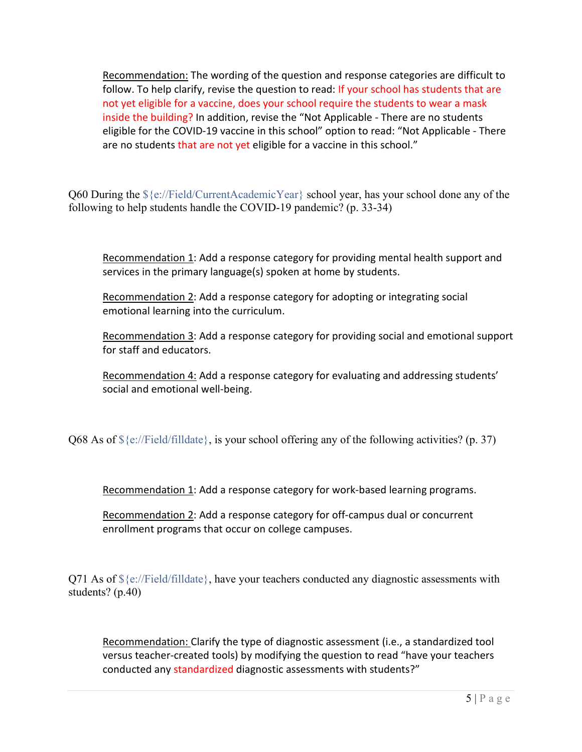Recommendation: The wording of the question and response categories are difficult to follow. To help clarify, revise the question to read: If your school has students that are not yet eligible for a vaccine, does your school require the students to wear a mask inside the building? In addition, revise the "Not Applicable - There are no students eligible for the COVID-19 vaccine in this school" option to read: "Not Applicable - There are no students that are not yet eligible for a vaccine in this school."

O60 During the  $\S\$ ://Field/CurrentAcademicYear school year, has your school done any of the following to help students handle the COVID-19 pandemic? (p. 33-34)

Recommendation 1: Add a response category for providing mental health support and services in the primary language(s) spoken at home by students.

Recommendation 2: Add a response category for adopting or integrating social emotional learning into the curriculum.

Recommendation 3: Add a response category for providing social and emotional support for staff and educators.

Recommendation 4: Add a response category for evaluating and addressing students' social and emotional well-being.

Q68 As of  $\{\epsilon'/\text{Field/filled}\}$ , is your school offering any of the following activities? (p. 37)

Recommendation 1: Add a response category for work-based learning programs.

Recommendation 2: Add a response category for off-campus dual or concurrent enrollment programs that occur on college campuses.

Q71 As of  $\S\$ ://Field/filldate}, have your teachers conducted any diagnostic assessments with students? (p.40)

Recommendation: Clarify the type of diagnostic assessment (i.e., a standardized tool versus teacher-created tools) by modifying the question to read "have your teachers conducted any standardized diagnostic assessments with students?"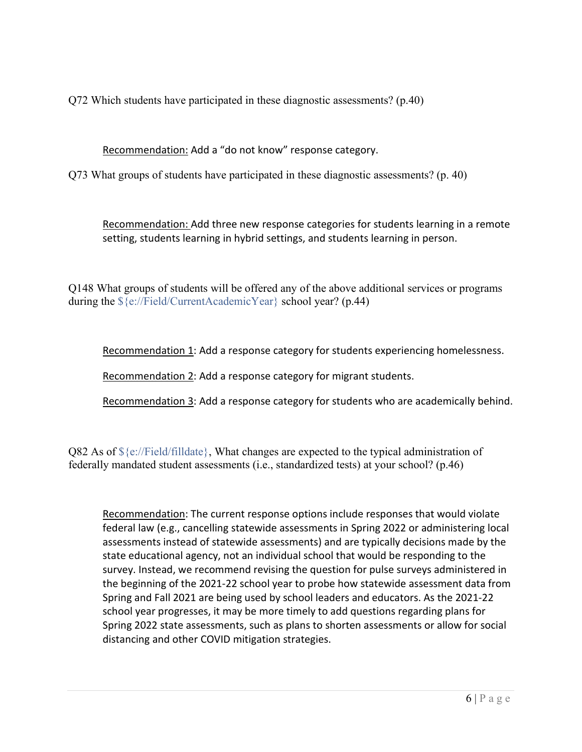Q72 Which students have participated in these diagnostic assessments? (p.40)

Recommendation: Add a "do not know" response category.

Q73 What groups of students have participated in these diagnostic assessments? (p. 40)

Recommendation: Add three new response categories for students learning in a remote setting, students learning in hybrid settings, and students learning in person.

Q148 What groups of students will be offered any of the above additional services or programs during the \${e://Field/CurrentAcademicYear} school year? (p.44)

Recommendation 1: Add a response category for students experiencing homelessness.

Recommendation 2: Add a response category for migrant students.

Recommendation 3: Add a response category for students who are academically behind.

Q82 As of  $\S\$ s://Field/filldate}, What changes are expected to the typical administration of federally mandated student assessments (i.e., standardized tests) at your school? (p.46)

Recommendation: The current response options include responses that would violate federal law (e.g., cancelling statewide assessments in Spring 2022 or administering local assessments instead of statewide assessments) and are typically decisions made by the state educational agency, not an individual school that would be responding to the survey. Instead, we recommend revising the question for pulse surveys administered in the beginning of the 2021-22 school year to probe how statewide assessment data from Spring and Fall 2021 are being used by school leaders and educators. As the 2021-22 school year progresses, it may be more timely to add questions regarding plans for Spring 2022 state assessments, such as plans to shorten assessments or allow for social distancing and other COVID mitigation strategies.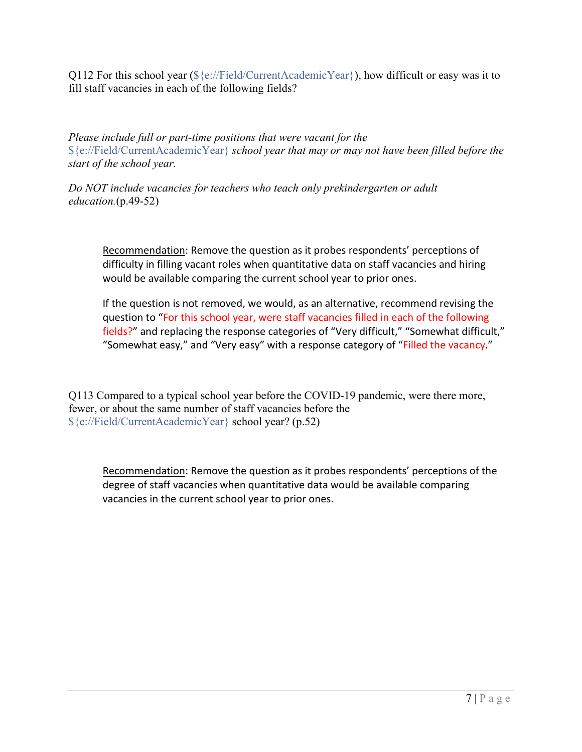Q112 For this school year  $(\frac{5}{e}$ ://Field/CurrentAcademicYear}), how difficult or easy was it to fill staff vacancies in each of the following fields?

*Please include full or part-time positions that were vacant for the* \${e://Field/CurrentAcademicYear} *school year that may or may not have been filled before the start of the school year.*

*Do NOT include vacancies for teachers who teach only prekindergarten or adult education.*(p.49-52)

Recommendation: Remove the question as it probes respondents' perceptions of difficulty in filling vacant roles when quantitative data on staff vacancies and hiring would be available comparing the current school year to prior ones.

If the question is not removed, we would, as an alternative, recommend revising the question to "For this school year, were staff vacancies filled in each of the following fields?" and replacing the response categories of "Very difficult," "Somewhat difficult," "Somewhat easy," and "Very easy" with a response category of "Filled the vacancy."

Q113 Compared to a typical school year before the COVID-19 pandemic, were there more, fewer, or about the same number of staff vacancies before the \${e://Field/CurrentAcademicYear} school year? (p.52)

Recommendation: Remove the question as it probes respondents' perceptions of the degree of staff vacancies when quantitative data would be available comparing vacancies in the current school year to prior ones.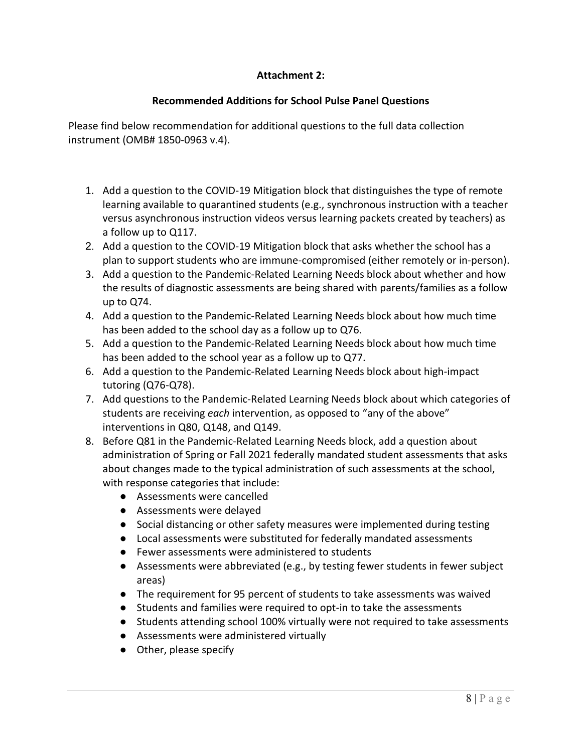## **Attachment 2:**

## **Recommended Additions for School Pulse Panel Questions**

Please find below recommendation for additional questions to the full data collection instrument (OMB# 1850-0963 v.4).

- 1. Add a question to the COVID-19 Mitigation block that distinguishes the type of remote learning available to quarantined students (e.g., synchronous instruction with a teacher versus asynchronous instruction videos versus learning packets created by teachers) as a follow up to Q117.
- 2. Add a question to the COVID-19 Mitigation block that asks whether the school has a plan to support students who are immune-compromised (either remotely or in-person).
- 3. Add a question to the Pandemic-Related Learning Needs block about whether and how the results of diagnostic assessments are being shared with parents/families as a follow up to Q74.
- 4. Add a question to the Pandemic-Related Learning Needs block about how much time has been added to the school day as a follow up to Q76.
- 5. Add a question to the Pandemic-Related Learning Needs block about how much time has been added to the school year as a follow up to Q77.
- 6. Add a question to the Pandemic-Related Learning Needs block about high-impact tutoring (Q76-Q78).
- 7. Add questions to the Pandemic-Related Learning Needs block about which categories of students are receiving *each* intervention, as opposed to "any of the above" interventions in Q80, Q148, and Q149.
- 8. Before Q81 in the Pandemic-Related Learning Needs block, add a question about administration of Spring or Fall 2021 federally mandated student assessments that asks about changes made to the typical administration of such assessments at the school, with response categories that include:
	- Assessments were cancelled
	- Assessments were delayed
	- Social distancing or other safety measures were implemented during testing
	- Local assessments were substituted for federally mandated assessments
	- Fewer assessments were administered to students
	- Assessments were abbreviated (e.g., by testing fewer students in fewer subject areas)
	- The requirement for 95 percent of students to take assessments was waived
	- Students and families were required to opt-in to take the assessments
	- Students attending school 100% virtually were not required to take assessments
	- Assessments were administered virtually
	- Other, please specify